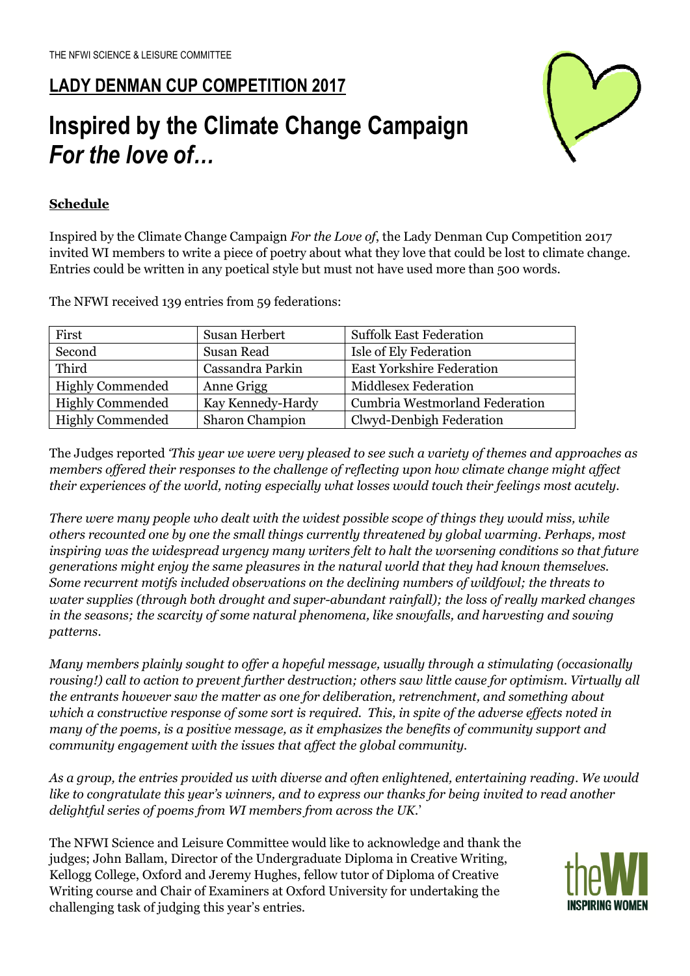## **LADY DENMAN CUP COMPETITION 2017**

# **Inspired by the Climate Change Campaign**  *For the love of…*



### **Schedule**

Inspired by the Climate Change Campaign *For the Love of*, the Lady Denman Cup Competition 2017 invited WI members to write a piece of poetry about what they love that could be lost to climate change. Entries could be written in any poetical style but must not have used more than 500 words.

The NFWI received 139 entries from 59 federations:

| First                   | Susan Herbert     | <b>Suffolk East Federation</b>        |
|-------------------------|-------------------|---------------------------------------|
| Second                  | Susan Read        | Isle of Ely Federation                |
| Third                   | Cassandra Parkin  | <b>East Yorkshire Federation</b>      |
| <b>Highly Commended</b> | Anne Grigg        | <b>Middlesex Federation</b>           |
| <b>Highly Commended</b> | Kay Kennedy-Hardy | <b>Cumbria Westmorland Federation</b> |
| <b>Highly Commended</b> | Sharon Champion   | Clwyd-Denbigh Federation              |

The Judges reported *'This year we were very pleased to see such a variety of themes and approaches as members offered their responses to the challenge of reflecting upon how climate change might affect their experiences of the world, noting especially what losses would touch their feelings most acutely.* 

*There were many people who dealt with the widest possible scope of things they would miss, while others recounted one by one the small things currently threatened by global warming. Perhaps, most inspiring was the widespread urgency many writers felt to halt the worsening conditions so that future generations might enjoy the same pleasures in the natural world that they had known themselves. Some recurrent motifs included observations on the declining numbers of wildfowl; the threats to water supplies (through both drought and super-abundant rainfall); the loss of really marked changes in the seasons; the scarcity of some natural phenomena, like snowfalls, and harvesting and sowing patterns.* 

*Many members plainly sought to offer a hopeful message, usually through a stimulating (occasionally rousing!) call to action to prevent further destruction; others saw little cause for optimism. Virtually all the entrants however saw the matter as one for deliberation, retrenchment, and something about which a constructive response of some sort is required. This, in spite of the adverse effects noted in many of the poems, is a positive message, as it emphasizes the benefits of community support and community engagement with the issues that affect the global community.* 

*As a group, the entries provided us with diverse and often enlightened, entertaining reading. We would like to congratulate this year's winners, and to express our thanks for being invited to read another delightful series of poems from WI members from across the UK.*'

The NFWI Science and Leisure Committee would like to acknowledge and thank the judges; John Ballam, Director of the Undergraduate Diploma in Creative Writing, Kellogg College, Oxford and Jeremy Hughes, fellow tutor of Diploma of Creative Writing course and Chair of Examiners at Oxford University for undertaking the challenging task of judging this year's entries.

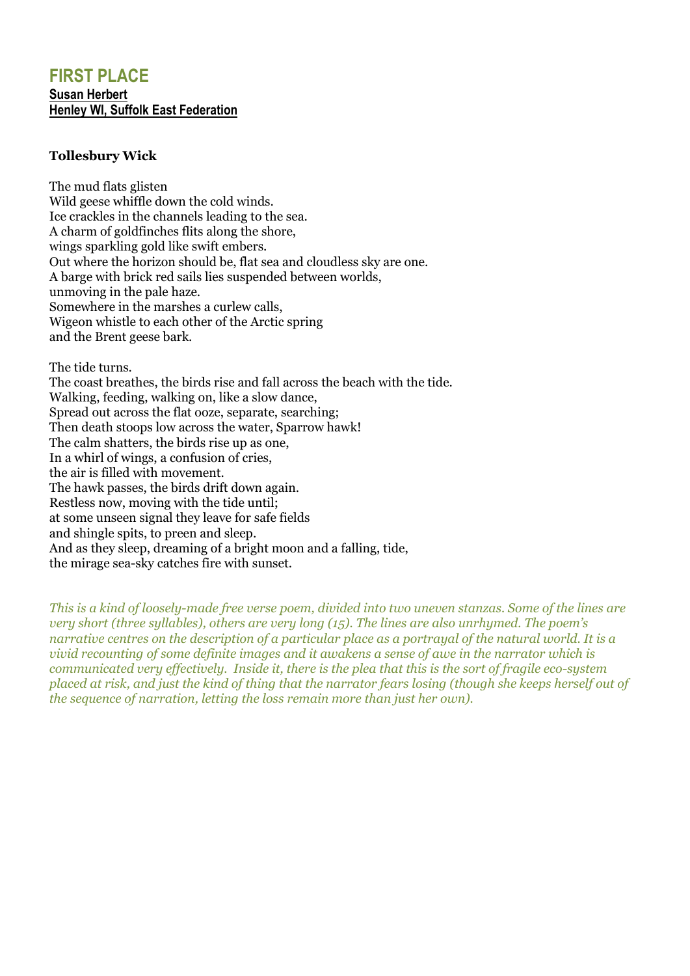## **FIRST PLACE Susan Herbert Henley WI, Suffolk East Federation**

#### **Tollesbury Wick**

The mud flats glisten Wild geese whiffle down the cold winds. Ice crackles in the channels leading to the sea. A charm of goldfinches flits along the shore, wings sparkling gold like swift embers. Out where the horizon should be, flat sea and cloudless sky are one. A barge with brick red sails lies suspended between worlds, unmoving in the pale haze. Somewhere in the marshes a curlew calls, Wigeon whistle to each other of the Arctic spring and the Brent geese bark.

The tide turns.

The coast breathes, the birds rise and fall across the beach with the tide. Walking, feeding, walking on, like a slow dance, Spread out across the flat ooze, separate, searching; Then death stoops low across the water, Sparrow hawk! The calm shatters, the birds rise up as one, In a whirl of wings, a confusion of cries, the air is filled with movement. The hawk passes, the birds drift down again. Restless now, moving with the tide until; at some unseen signal they leave for safe fields and shingle spits, to preen and sleep. And as they sleep, dreaming of a bright moon and a falling, tide, the mirage sea-sky catches fire with sunset.

*This is a kind of loosely-made free verse poem, divided into two uneven stanzas. Some of the lines are very short (three syllables), others are very long (15). The lines are also unrhymed. The poem's narrative centres on the description of a particular place as a portrayal of the natural world. It is a vivid recounting of some definite images and it awakens a sense of awe in the narrator which is communicated very effectively. Inside it, there is the plea that this is the sort of fragile eco-system placed at risk, and just the kind of thing that the narrator fears losing (though she keeps herself out of the sequence of narration, letting the loss remain more than just her own).*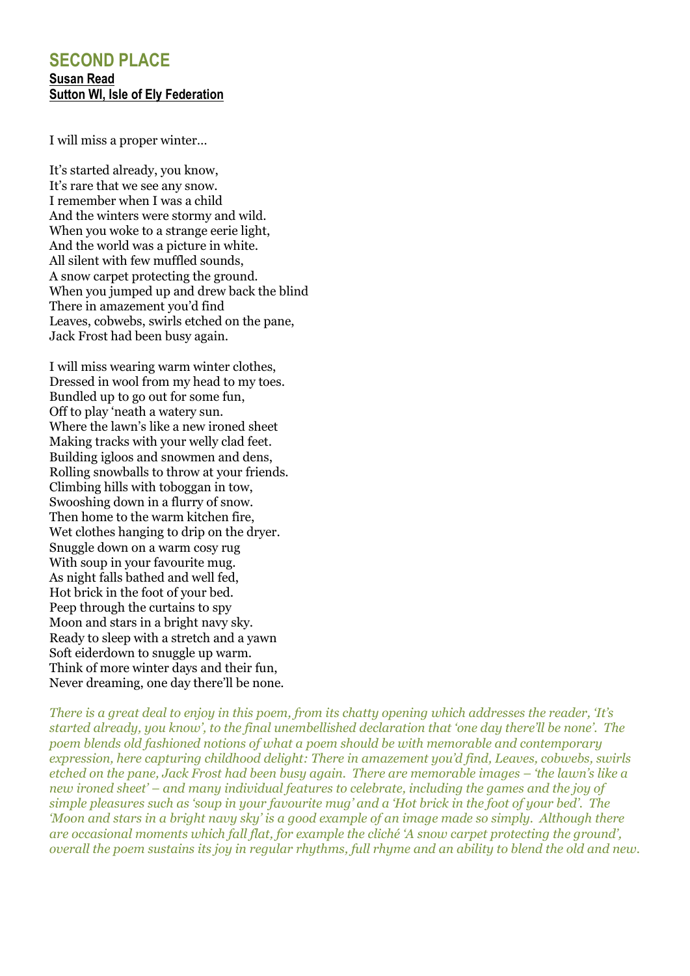## **SECOND PLACE Susan Read Sutton WI, Isle of Ely Federation**

I will miss a proper winter…

It's started already, you know, It's rare that we see any snow. I remember when I was a child And the winters were stormy and wild. When you woke to a strange eerie light, And the world was a picture in white. All silent with few muffled sounds, A snow carpet protecting the ground. When you jumped up and drew back the blind There in amazement you'd find Leaves, cobwebs, swirls etched on the pane, Jack Frost had been busy again.

I will miss wearing warm winter clothes, Dressed in wool from my head to my toes. Bundled up to go out for some fun, Off to play 'neath a watery sun. Where the lawn's like a new ironed sheet Making tracks with your welly clad feet. Building igloos and snowmen and dens, Rolling snowballs to throw at your friends. Climbing hills with toboggan in tow, Swooshing down in a flurry of snow. Then home to the warm kitchen fire, Wet clothes hanging to drip on the dryer. Snuggle down on a warm cosy rug With soup in your favourite mug. As night falls bathed and well fed, Hot brick in the foot of your bed. Peep through the curtains to spy Moon and stars in a bright navy sky. Ready to sleep with a stretch and a yawn Soft eiderdown to snuggle up warm. Think of more winter days and their fun, Never dreaming, one day there'll be none.

*There is a great deal to enjoy in this poem, from its chatty opening which addresses the reader, 'It's started already, you know', to the final unembellished declaration that 'one day there'll be none'. The poem blends old fashioned notions of what a poem should be with memorable and contemporary expression, here capturing childhood delight: There in amazement you'd find, Leaves, cobwebs, swirls etched on the pane, Jack Frost had been busy again. There are memorable images – 'the lawn's like a new ironed sheet' – and many individual features to celebrate, including the games and the joy of simple pleasures such as 'soup in your favourite mug' and a 'Hot brick in the foot of your bed'. The 'Moon and stars in a bright navy sky' is a good example of an image made so simply. Although there are occasional moments which fall flat, for example the cliché 'A snow carpet protecting the ground', overall the poem sustains its joy in regular rhythms, full rhyme and an ability to blend the old and new.*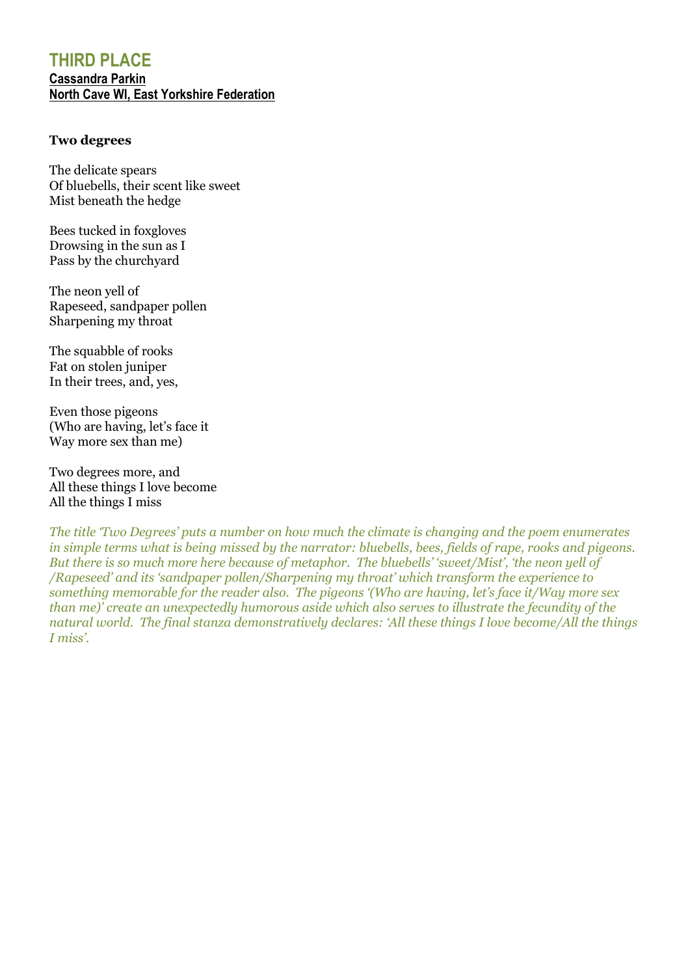## **THIRD PLACE Cassandra Parkin North Cave WI, East Yorkshire Federation**

#### **Two degrees**

The delicate spears Of bluebells, their scent like sweet Mist beneath the hedge

Bees tucked in foxgloves Drowsing in the sun as I Pass by the churchyard

The neon yell of Rapeseed, sandpaper pollen Sharpening my throat

The squabble of rooks Fat on stolen juniper In their trees, and, yes,

Even those pigeons (Who are having, let's face it Way more sex than me)

Two degrees more, and All these things I love become All the things I miss

*The title 'Two Degrees' puts a number on how much the climate is changing and the poem enumerates in simple terms what is being missed by the narrator: bluebells, bees, fields of rape, rooks and pigeons. But there is so much more here because of metaphor. The bluebells' 'sweet/Mist', 'the neon yell of /Rapeseed' and its 'sandpaper pollen/Sharpening my throat' which transform the experience to something memorable for the reader also. The pigeons '(Who are having, let's face it/Way more sex than me)' create an unexpectedly humorous aside which also serves to illustrate the fecundity of the natural world. The final stanza demonstratively declares: 'All these things I love become/All the things I miss'.*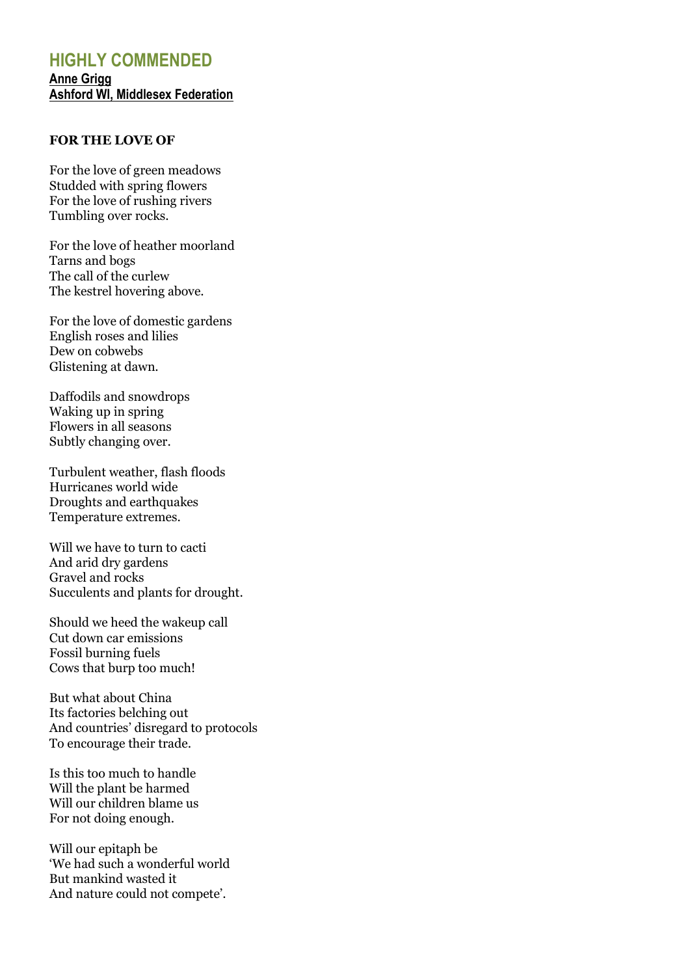## **HIGHLY COMMENDED Anne Grigg Ashford WI, Middlesex Federation**

#### **FOR THE LOVE OF**

For the love of green meadows Studded with spring flowers For the love of rushing rivers Tumbling over rocks.

For the love of heather moorland Tarns and bogs The call of the curlew The kestrel hovering above.

For the love of domestic gardens English roses and lilies Dew on cobwebs Glistening at dawn.

Daffodils and snowdrops Waking up in spring Flowers in all seasons Subtly changing over.

Turbulent weather, flash floods Hurricanes world wide Droughts and earthquakes Temperature extremes.

Will we have to turn to cacti And arid dry gardens Gravel and rocks Succulents and plants for drought.

Should we heed the wakeup call Cut down car emissions Fossil burning fuels Cows that burp too much!

But what about China Its factories belching out And countries' disregard to protocols To encourage their trade.

Is this too much to handle Will the plant be harmed Will our children blame us For not doing enough.

Will our epitaph be 'We had such a wonderful world But mankind wasted it And nature could not compete'.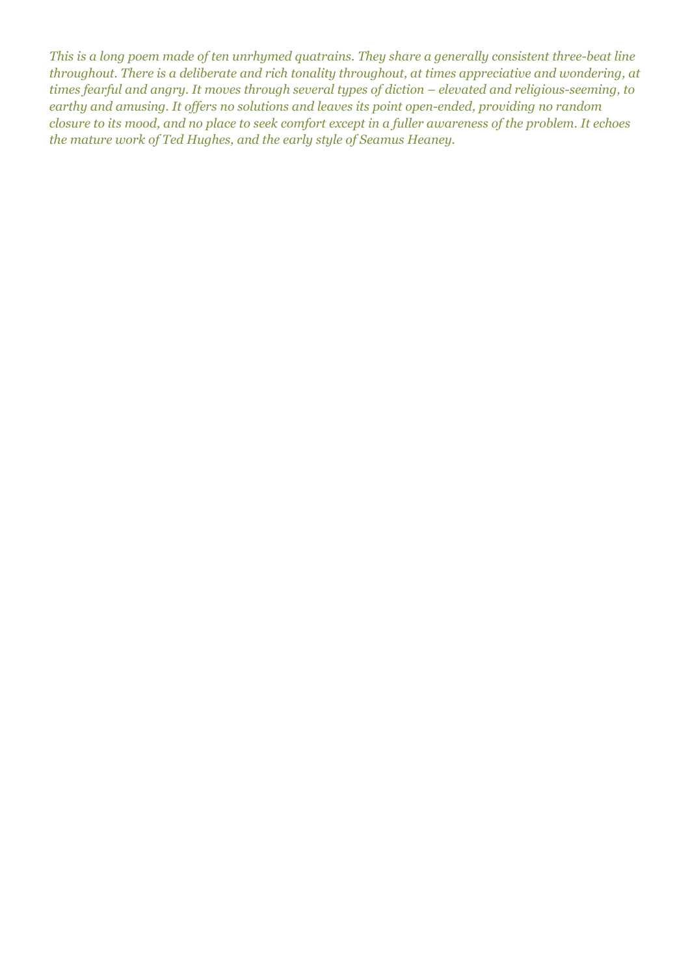*This is a long poem made of ten unrhymed quatrains. They share a generally consistent three-beat line throughout. There is a deliberate and rich tonality throughout, at times appreciative and wondering, at times fearful and angry. It moves through several types of diction – elevated and religious-seeming, to earthy and amusing. It offers no solutions and leaves its point open-ended, providing no random closure to its mood, and no place to seek comfort except in a fuller awareness of the problem. It echoes the mature work of Ted Hughes, and the early style of Seamus Heaney.*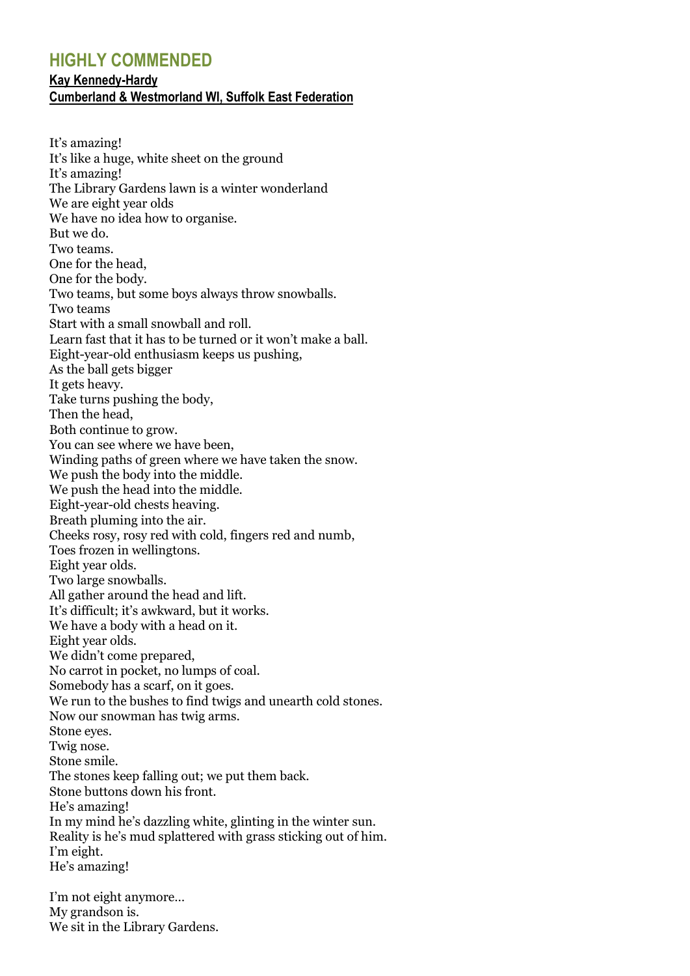## **HIGHLY COMMENDED**

#### **Kay Kennedy-Hardy**

#### **Cumberland & Westmorland WI, Suffolk East Federation**

It's amazing! It's like a huge, white sheet on the ground It's amazing! The Library Gardens lawn is a winter wonderland We are eight year olds We have no idea how to organise. But we do. Two teams. One for the head, One for the body. Two teams, but some boys always throw snowballs. Two teams Start with a small snowball and roll. Learn fast that it has to be turned or it won't make a ball. Eight-year-old enthusiasm keeps us pushing, As the ball gets bigger It gets heavy. Take turns pushing the body, Then the head, Both continue to grow. You can see where we have been, Winding paths of green where we have taken the snow. We push the body into the middle. We push the head into the middle. Eight-year-old chests heaving. Breath pluming into the air. Cheeks rosy, rosy red with cold, fingers red and numb, Toes frozen in wellingtons. Eight year olds. Two large snowballs. All gather around the head and lift. It's difficult; it's awkward, but it works. We have a body with a head on it. Eight year olds. We didn't come prepared, No carrot in pocket, no lumps of coal. Somebody has a scarf, on it goes. We run to the bushes to find twigs and unearth cold stones. Now our snowman has twig arms. Stone eyes. Twig nose. Stone smile. The stones keep falling out; we put them back. Stone buttons down his front. He's amazing! In my mind he's dazzling white, glinting in the winter sun. Reality is he's mud splattered with grass sticking out of him. I'm eight. He's amazing!

I'm not eight anymore… My grandson is. We sit in the Library Gardens.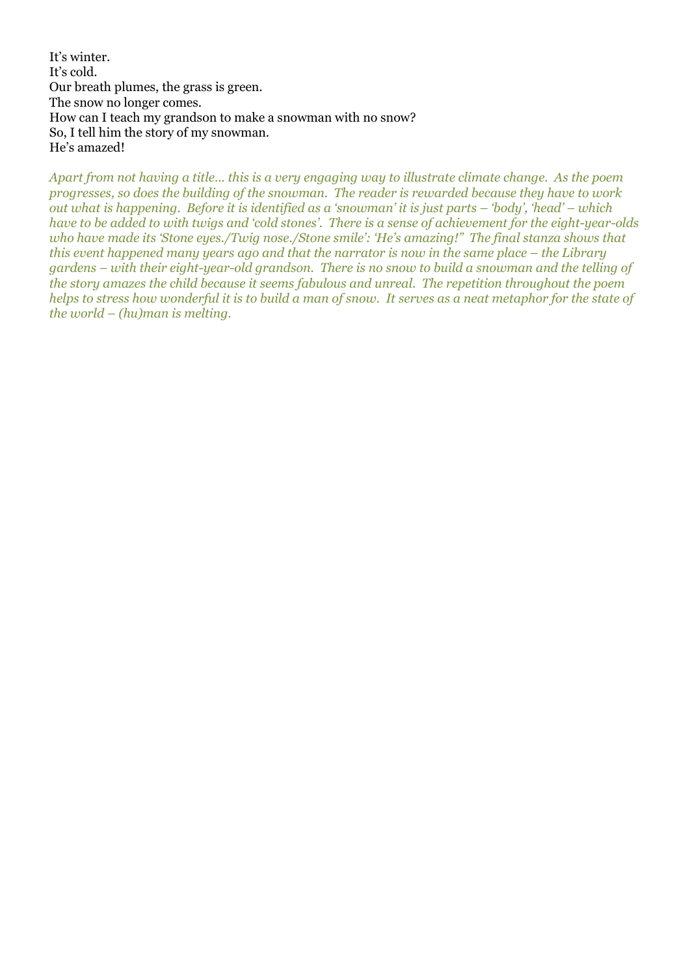It's winter. It's cold. Our breath plumes, the grass is green. The snow no longer comes. How can I teach my grandson to make a snowman with no snow? So, I tell him the story of my snowman. He's amazed!

*Apart from not having a title… this is a very engaging way to illustrate climate change. As the poem progresses, so does the building of the snowman. The reader is rewarded because they have to work out what is happening. Before it is identified as a 'snowman' it is just parts – 'body', 'head' – which have to be added to with twigs and 'cold stones'. There is a sense of achievement for the eight-year-olds who have made its 'Stone eyes./Twig nose./Stone smile': 'He's amazing!" The final stanza shows that this event happened many years ago and that the narrator is now in the same place – the Library gardens – with their eight-year-old grandson. There is no snow to build a snowman and the telling of the story amazes the child because it seems fabulous and unreal. The repetition throughout the poem helps to stress how wonderful it is to build a man of snow. It serves as a neat metaphor for the state of the world – (hu)man is melting.*